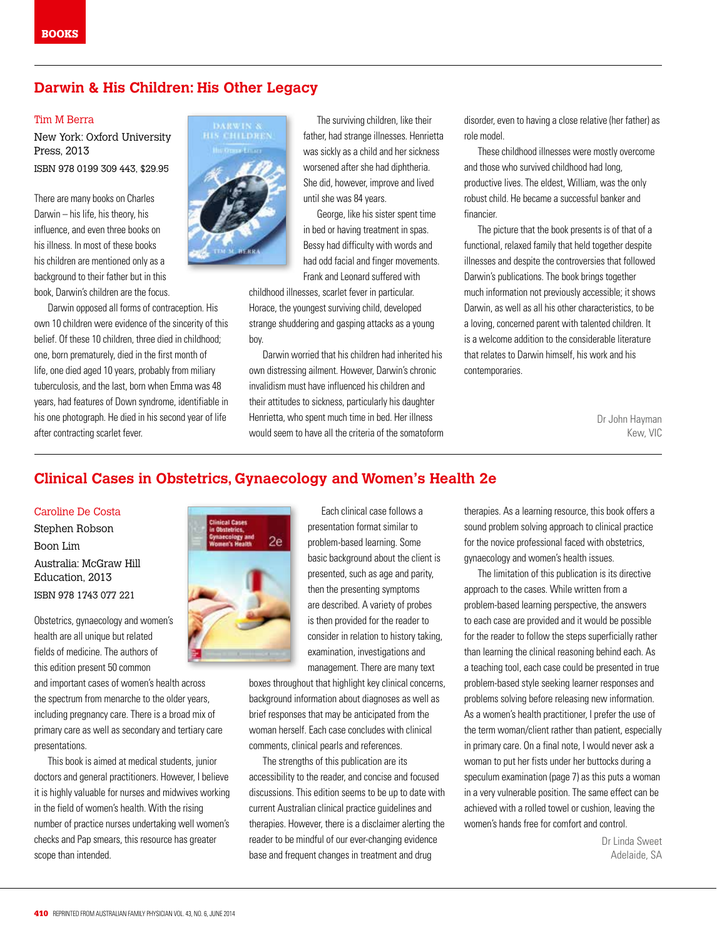### **Darwin & His Children: His Other Legacy**

#### Tim M Berra

New York: Oxford University Press, 2013 ISBN 978 0199 309 443, \$29.95

There are many books on Charles Darwin – his life, his theory, his influence, and even three books on his illness. In most of these books his children are mentioned only as a background to their father but in this book, Darwin's children are the focus.

Darwin opposed all forms of contraception. His own 10 children were evidence of the sincerity of this belief. Of these 10 children, three died in childhood; one, born prematurely, died in the first month of life, one died aged 10 years, probably from miliary tuberculosis, and the last, born when Emma was 48 years, had features of Down syndrome, identifiable in his one photograph. He died in his second year of life after contracting scarlet fever.



The surviving children, like their father, had strange illnesses. Henrietta was sickly as a child and her sickness worsened after she had diphtheria. She did, however, improve and lived until she was 84 years.

George, like his sister spent time in bed or having treatment in spas. Bessy had difficulty with words and had odd facial and finger movements. Frank and Leonard suffered with

childhood illnesses, scarlet fever in particular. Horace, the youngest surviving child, developed strange shuddering and gasping attacks as a young boy.

Darwin worried that his children had inherited his own distressing ailment. However, Darwin's chronic invalidism must have influenced his children and their attitudes to sickness, particularly his daughter Henrietta, who spent much time in bed. Her illness would seem to have all the criteria of the somatoform disorder, even to having a close relative (her father) as role model.

These childhood illnesses were mostly overcome and those who survived childhood had long, productive lives. The eldest, William, was the only robust child. He became a successful banker and financier.

The picture that the book presents is of that of a functional, relaxed family that held together despite illnesses and despite the controversies that followed Darwin's publications. The book brings together much information not previously accessible; it shows Darwin, as well as all his other characteristics, to be a loving, concerned parent with talented children. It is a welcome addition to the considerable literature that relates to Darwin himself, his work and his contemporaries.

> Dr John Hayman Kew, VIC

## **Clinical Cases in Obstetrics, Gynaecology and Women's Health 2e**

#### Caroline De Costa

Stephen Robson Boon Lim Australia: McGraw Hill Education, 2013 ISBN 978 1743 077 221

Obstetrics, gynaecology and women's health are all unique but related fields of medicine. The authors of this edition present 50 common

and important cases of women's health across the spectrum from menarche to the older years, including pregnancy care. There is a broad mix of primary care as well as secondary and tertiary care presentations.

This book is aimed at medical students, junior doctors and general practitioners. However, I believe it is highly valuable for nurses and midwives working in the field of women's health. With the rising number of practice nurses undertaking well women's checks and Pap smears, this resource has greater scope than intended.



Each clinical case follows a presentation format similar to problem-based learning. Some basic background about the client is presented, such as age and parity, then the presenting symptoms are described. A variety of probes is then provided for the reader to consider in relation to history taking, examination, investigations and management. There are many text

boxes throughout that highlight key clinical concerns, background information about diagnoses as well as brief responses that may be anticipated from the woman herself. Each case concludes with clinical comments, clinical pearls and references.

The strengths of this publication are its accessibility to the reader, and concise and focused discussions. This edition seems to be up to date with current Australian clinical practice guidelines and therapies. However, there is a disclaimer alerting the reader to be mindful of our ever-changing evidence base and frequent changes in treatment and drug

therapies. As a learning resource, this book offers a sound problem solving approach to clinical practice for the novice professional faced with obstetrics, gynaecology and women's health issues.

The limitation of this publication is its directive approach to the cases. While written from a problem-based learning perspective, the answers to each case are provided and it would be possible for the reader to follow the steps superficially rather than learning the clinical reasoning behind each. As a teaching tool, each case could be presented in true problem-based style seeking learner responses and problems solving before releasing new information. As a women's health practitioner, I prefer the use of the term woman/client rather than patient, especially in primary care. On a final note, I would never ask a woman to put her fists under her buttocks during a speculum examination (page 7) as this puts a woman in a very vulnerable position. The same effect can be achieved with a rolled towel or cushion, leaving the women's hands free for comfort and control.

> Dr Linda Sweet Adelaide, SA